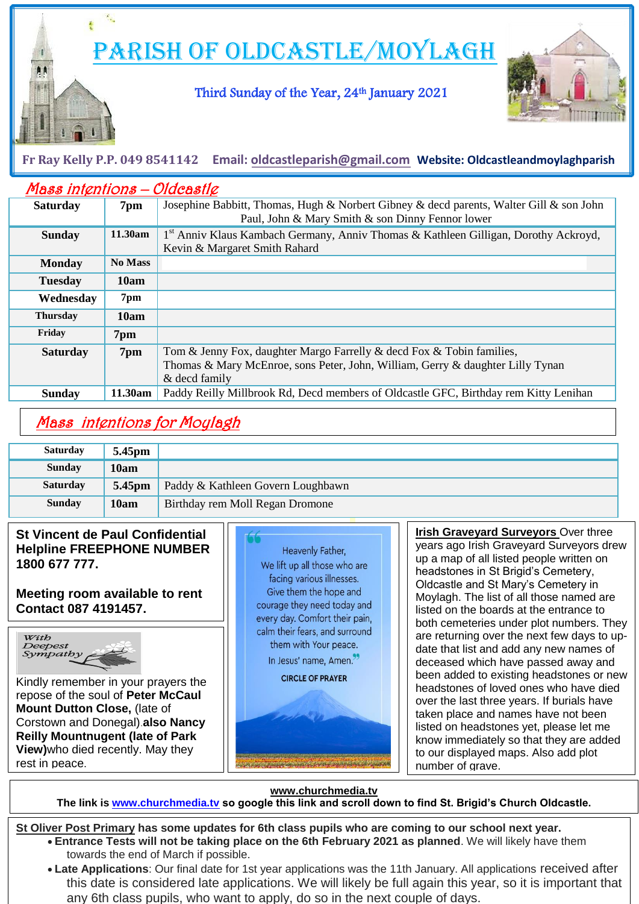PARISH OF OLDCASTLE/MOYLAGH

Third Sunday of the Year, 24th January 2021



**Fr Ray Kelly P.P. 049 8541142 Email: [oldcastleparish@gmail.com](mailto:oldcastleparish@gmail.com) Website: Oldcastleandmoylaghparish**

| Mass intentions - Oldcastle |                |                                                                                                                                             |
|-----------------------------|----------------|---------------------------------------------------------------------------------------------------------------------------------------------|
| <b>Saturday</b>             | 7pm            | Josephine Babbitt, Thomas, Hugh & Norbert Gibney & decd parents, Walter Gill & son John<br>Paul, John & Mary Smith & son Dinny Fennor lower |
| <b>Sunday</b>               | 11.30am        | 1 <sup>st</sup> Anniv Klaus Kambach Germany, Anniv Thomas & Kathleen Gilligan, Dorothy Ackroyd,<br>Kevin & Margaret Smith Rahard            |
| <b>Monday</b>               | <b>No Mass</b> |                                                                                                                                             |
| <b>Tuesday</b>              | 10am           |                                                                                                                                             |
| Wednesday                   | 7pm            |                                                                                                                                             |
| <b>Thursday</b>             | 10am           |                                                                                                                                             |
| Friday                      | 7pm            |                                                                                                                                             |
| <b>Saturday</b>             | 7pm            | Tom & Jenny Fox, daughter Margo Farrelly & decd Fox & Tobin families,                                                                       |
|                             |                | Thomas & Mary McEnroe, sons Peter, John, William, Gerry & daughter Lilly Tynan<br>& decd family                                             |
| <b>Sunday</b>               | 11.30am        | Paddy Reilly Millbrook Rd, Decd members of Oldcastle GFC, Birthday rem Kitty Lenihan                                                        |

# Mass intentions for Moylagh

| <b>Saturday</b> | 5.45pm             |                                   |
|-----------------|--------------------|-----------------------------------|
| <b>Sunday</b>   | 10am               |                                   |
| <b>Saturday</b> | 5.45 <sub>pm</sub> | Paddy & Kathleen Govern Loughbawn |
| <b>Sunday</b>   | 10am               | Birthday rem Moll Regan Dromone   |

### **St Vincent de Paul Confidential Helpline FREEPHONE NUMBER 1800 677 777.**

**Meeting room available to rent Contact 087 4191457.**

 $\overline{a}$ 



 $\overline{\phantom{a}}$ 

i di se L

Kindly remember in your prayers the repose of the soul of **Peter McCaul Mount Dutton Close,** (late of Corstown and Donegal).**also Nancy Reilly Mountnugent (late of Park View)**who died recently. May they rest in peace.



to our displayed maps. Also add plot **Irish Graveyard Surveyors** Over three years ago Irish Graveyard Surveyors drew up a map of all listed people written on headstones in St Brigid's Cemetery, Oldcastle and St Mary's Cemetery in Moylagh. The list of all those named are listed on the boards at the entrance to both cemeteries under plot numbers. They are returning over the next few days to update that list and add any new names of deceased which have passed away and been added to existing headstones or new headstones of loved ones who have died over the last three years. If burials have taken place and names have not been listed on headstones yet, please let me know immediately so that they are added number of grave.

**www.churchmedia.tv**

**The link is [www.churchmedia.tv](http://www.churchmedia.tv/) so google this link and scroll down to find St. Brigid's Church Oldcastle.**

**St Oliver Post Primary has some updates for 6th class pupils who are coming to our school next year. Entrance Tests will not be taking place on the 6th February 2021 as planned**. We will likely have them towards the end of March if possible.

 **Late Applications**: Our final date for 1st year applications was the 11th January. All applications received after this date is considered late applications. We will likely be full again this year, so it is important that any 6th class pupils, who want to apply, do so in the next couple of days.